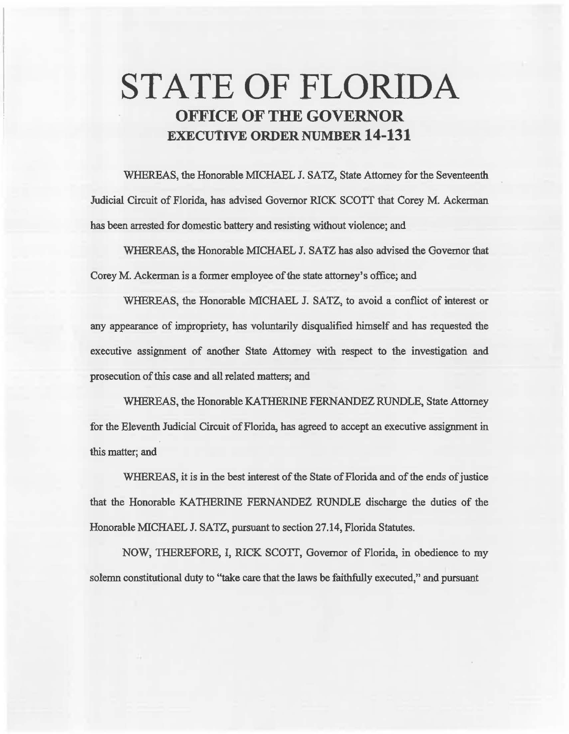# **STATE OF FLORIDA OFFICE OF THE GOVERNOR EXECUTIVE ORDER NUMBER 14-131**

WHEREAS, the Honorable MICHAEL J. SATZ, State Attorney for the Seventeenth Judicial Circuit of Florida, has advised Governor RICK SCOTT 1hat Corey M. Ackerman has been arrested for domestic battery and resisting without violence; and

WHEREAS, the Honorable MICHAEL J. SATZ has also advised the Governor that Corey M. Ackennan is a former employee of the state attorney's office; and

WHEREAS, the Honorable MICHAEL J. SATZ, to avoid a conflict of interest or any appearance of impropriety, has voluntarily disqualified himself and has requested the executive assignment of another State Attorney with respect to the investigation and prosecution of this case and all related matters; and

WHEREAS, the Honorable KATHERINE FERNANDEZ RUNDLE, State Attorney for the Eleventh Judicial Circuit of Florida, has agreed to accept an executive assignment in this matter; and

WHEREAS, it is in the best interest of the State of Florida and of the ends of justice that the Honorable KATHERINE FERNANDEZ RUNDLE discharge the duties of the Honorable MICHAEL J. SATZ, pursuant to section 27.14, Florida Statutes.

NOW, THEREFORE, i, RICK SCOTT, Governor of Florida, in obedience to my solemn constitational duty to "take care that the laws be faithfully executed," and pursuant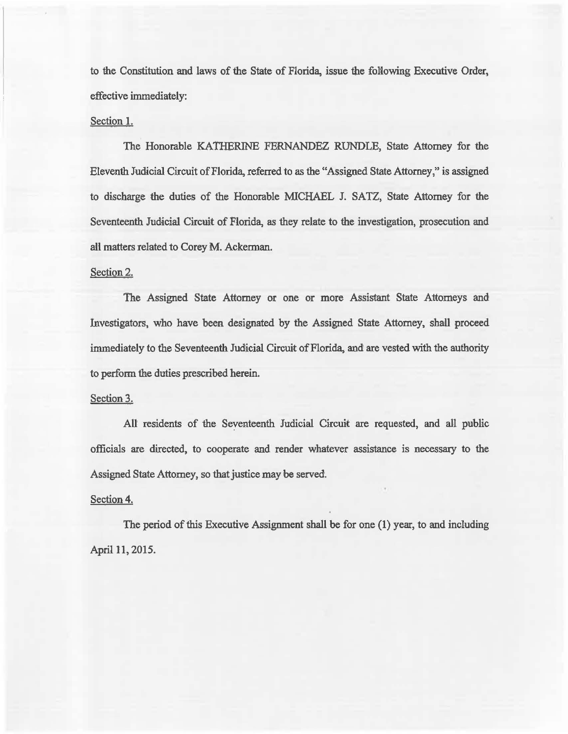to the Constitution and laws of the State of Florida, issue the folfowing Executive Order, effective immediately:

#### Section 1.

The Honorable KATIIERINE FERNANDEZ RUNDLE, State Attorney for the Eleventh Judicial Circuit of Florida, referred to as the "Assigned State Attorney," is assigned to discharge the duties of the Honorable MICHAEL J. SATZ, State Attorney for the Seventeenth Judicial Circuit of Florida, as they relate to the investigation, prosecution and all matters related to Corey M. Ackerman.

#### Section 2.

The Assigned State Attorney or one or more Assistant State Attorneys and Investigators, who have been designated by the Assigned State Attorney, shall proceed immediately to the Seventeenth Judicial Circuit of Florida, and are vested with the authority to perform the duties prescribed herein.

## Section 3.

All residents of the Seyenteenth Judicial Circuit are requested, and all public officials are directed, to cooperate and render whatever assistance is necessary to the Assigned State Attorney, so that justice may be served.

## Section 4.

The period of this Executive Assignment shall be for one (1) year, to and including April 11, 2015.